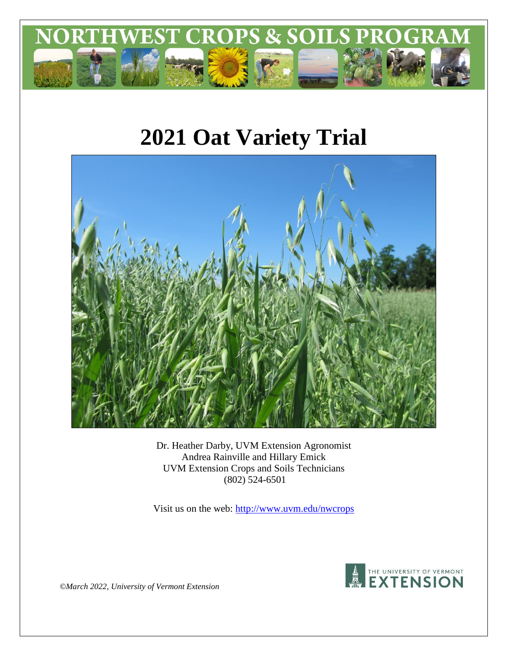

# **2021 Oat Variety Trial**



Dr. Heather Darby, UVM Extension Agronomist Andrea Rainville and Hillary Emick UVM Extension Crops and Soils Technicians (802) 524-6501

Visit us on the web:<http://www.uvm.edu/nwcrops>



*©March 2022, University of Vermont Extension*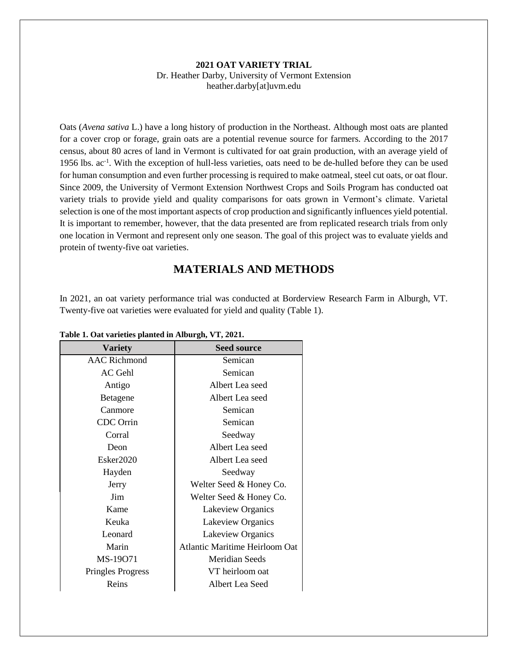#### **2021 OAT VARIETY TRIAL** Dr. Heather Darby, University of Vermont Extension heather.darby[at]uvm.edu

Oats (*Avena sativa* L.) have a long history of production in the Northeast. Although most oats are planted for a cover crop or forage, grain oats are a potential revenue source for farmers. According to the 2017 census, about 80 acres of land in Vermont is cultivated for oat grain production, with an average yield of 1956 lbs. ac<sup>-1</sup>. With the exception of hull-less varieties, oats need to be de-hulled before they can be used for human consumption and even further processing is required to make oatmeal, steel cut oats, or oat flour. Since 2009, the University of Vermont Extension Northwest Crops and Soils Program has conducted oat variety trials to provide yield and quality comparisons for oats grown in Vermont's climate. Varietal selection is one of the most important aspects of crop production and significantly influences yield potential. It is important to remember, however, that the data presented are from replicated research trials from only one location in Vermont and represent only one season. The goal of this project was to evaluate yields and protein of twenty-five oat varieties.

# **MATERIALS AND METHODS**

In 2021, an oat variety performance trial was conducted at Borderview Research Farm in Alburgh, VT. Twenty-five oat varieties were evaluated for yield and quality (Table 1).

| <b>Variety</b>           | <b>Seed source</b>                    |  |
|--------------------------|---------------------------------------|--|
| AAC Richmond             | Semican                               |  |
| AC Gehl                  | Semican                               |  |
| Antigo                   | Albert Lea seed                       |  |
| Betagene                 | Albert Lea seed                       |  |
| Canmore                  | Semican                               |  |
| <b>CDC</b> Orrin         | Semican                               |  |
| Corral                   | Seedway                               |  |
| Deon                     | Albert Lea seed                       |  |
| Ester2020                | Albert Lea seed                       |  |
| Hayden                   | Seedway                               |  |
| Jerry                    | Welter Seed & Honey Co.               |  |
| Jim                      | Welter Seed & Honey Co.               |  |
| Kame                     | Lakeview Organics                     |  |
| Keuka                    | Lakeview Organics                     |  |
| Leonard                  | Lakeview Organics                     |  |
| Marin                    | <b>Atlantic Maritime Heirloom Oat</b> |  |
| MS-19071                 | <b>Meridian Seeds</b>                 |  |
| <b>Pringles Progress</b> | VT heirloom oat                       |  |
| Reins                    | Albert Lea Seed                       |  |

**Table 1. Oat varieties planted in Alburgh, VT, 2021.**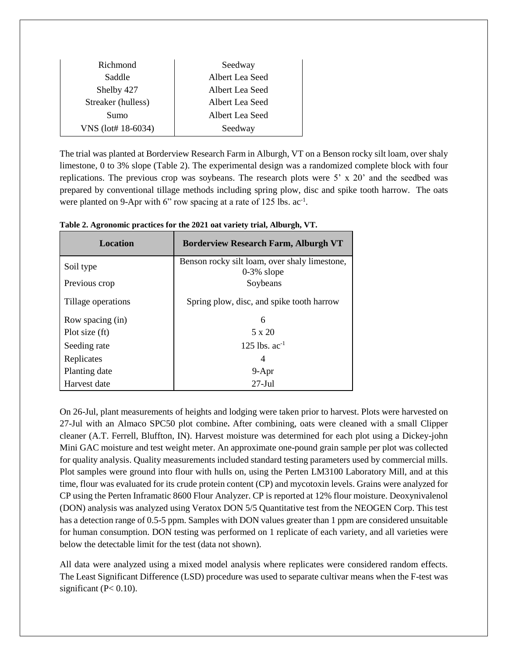| Richmond           | Seedway         |
|--------------------|-----------------|
| Saddle             | Albert Lea Seed |
| Shelby 427         | Albert Lea Seed |
| Streaker (hulless) | Albert Lea Seed |
| Sumo               | Albert Lea Seed |
| VNS (lot# 18-6034) | Seedway         |

The trial was planted at Borderview Research Farm in Alburgh, VT on a Benson rocky silt loam, over shaly limestone, 0 to 3% slope (Table 2). The experimental design was a randomized complete block with four replications. The previous crop was soybeans. The research plots were 5' x 20' and the seedbed was prepared by conventional tillage methods including spring plow, disc and spike tooth harrow. The oats were planted on 9-Apr with 6" row spacing at a rate of 125 lbs.  $ac^{-1}$ .

| <b>Location</b>    | <b>Borderview Research Farm, Alburgh VT</b>                    |
|--------------------|----------------------------------------------------------------|
| Soil type          | Benson rocky silt loam, over shaly limestone,<br>$0-3\%$ slope |
| Previous crop      | Soybeans                                                       |
| Tillage operations | Spring plow, disc, and spike tooth harrow                      |
| Row spacing (in)   | 6                                                              |
| Plot size (ft)     | 5 x 20                                                         |
| Seeding rate       | 125 lbs. $ac^{-1}$                                             |
| Replicates         | 4                                                              |
| Planting date      | $9 - Apr$                                                      |
| Harvest date       | $27-Jul$                                                       |

**Table 2. Agronomic practices for the 2021 oat variety trial, Alburgh, VT.**

On 26-Jul, plant measurements of heights and lodging were taken prior to harvest. Plots were harvested on 27-Jul with an Almaco SPC50 plot combine**.** After combining, oats were cleaned with a small Clipper cleaner (A.T. Ferrell, Bluffton, IN). Harvest moisture was determined for each plot using a Dickey-john Mini GAC moisture and test weight meter. An approximate one-pound grain sample per plot was collected for quality analysis. Quality measurements included standard testing parameters used by commercial mills. Plot samples were ground into flour with hulls on, using the Perten LM3100 Laboratory Mill, and at this time, flour was evaluated for its crude protein content (CP) and mycotoxin levels. Grains were analyzed for CP using the Perten Inframatic 8600 Flour Analyzer. CP is reported at 12% flour moisture. Deoxynivalenol (DON) analysis was analyzed using Veratox DON 5/5 Quantitative test from the NEOGEN Corp. This test has a detection range of 0.5-5 ppm. Samples with DON values greater than 1 ppm are considered unsuitable for human consumption. DON testing was performed on 1 replicate of each variety, and all varieties were below the detectable limit for the test (data not shown).

All data were analyzed using a mixed model analysis where replicates were considered random effects. The Least Significant Difference (LSD) procedure was used to separate cultivar means when the F-test was significant  $(P< 0.10)$ .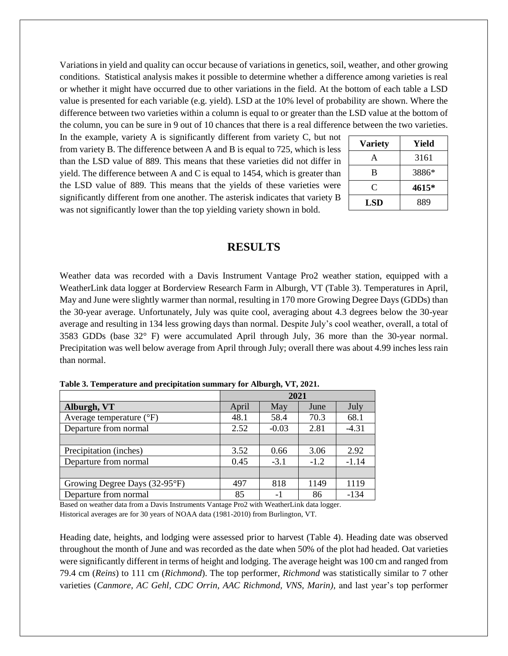Variations in yield and quality can occur because of variations in genetics, soil, weather, and other growing conditions. Statistical analysis makes it possible to determine whether a difference among varieties is real or whether it might have occurred due to other variations in the field. At the bottom of each table a LSD value is presented for each variable (e.g. yield). LSD at the 10% level of probability are shown. Where the difference between two varieties within a column is equal to or greater than the LSD value at the bottom of the column, you can be sure in 9 out of 10 chances that there is a real difference between the two varieties.

In the example, variety A is significantly different from variety C, but not from variety B. The difference between A and B is equal to 725, which is less than the LSD value of 889. This means that these varieties did not differ in yield. The difference between A and C is equal to 1454, which is greater than the LSD value of 889. This means that the yields of these varieties were significantly different from one another. The asterisk indicates that variety B was not significantly lower than the top yielding variety shown in bold.

| <b>Variety</b> | Yield |
|----------------|-------|
| А              | 3161  |
| B              | 3886* |
| C              | 4615* |
| <b>LSD</b>     | 889   |

### **RESULTS**

Weather data was recorded with a Davis Instrument Vantage Pro2 weather station, equipped with a WeatherLink data logger at Borderview Research Farm in Alburgh, VT (Table 3). Temperatures in April, May and June were slightly warmer than normal, resulting in 170 more Growing Degree Days (GDDs) than the 30-year average. Unfortunately, July was quite cool, averaging about 4.3 degrees below the 30-year average and resulting in 134 less growing days than normal. Despite July's cool weather, overall, a total of 3583 GDDs (base 32° F) were accumulated April through July, 36 more than the 30-year normal. Precipitation was well below average from April through July; overall there was about 4.99 inches less rain than normal.

|                                   |       | 2021    |        |         |
|-----------------------------------|-------|---------|--------|---------|
| Alburgh, VT                       | April | May     | June   | July    |
| Average temperature $(^{\circ}F)$ | 48.1  | 58.4    | 70.3   | 68.1    |
| Departure from normal             | 2.52  | $-0.03$ | 2.81   | $-4.31$ |
|                                   |       |         |        |         |
| Precipitation (inches)            | 3.52  | 0.66    | 3.06   | 2.92    |
| Departure from normal             | 0.45  | $-3.1$  | $-1.2$ | $-1.14$ |
|                                   |       |         |        |         |
| Growing Degree Days (32-95°F)     | 497   | 818     | 1149   | 1119    |
| Departure from normal             | 85    | $-1$    | 86     | $-134$  |

**Table 3. Temperature and precipitation summary for Alburgh, VT, 2021.**

Based on weather data from a Davis Instruments Vantage Pro2 with WeatherLink data logger. Historical averages are for 30 years of NOAA data (1981-2010) from Burlington, VT.

Heading date, heights, and lodging were assessed prior to harvest (Table 4). Heading date was observed throughout the month of June and was recorded as the date when 50% of the plot had headed. Oat varieties were significantly different in terms of height and lodging. The average height was 100 cm and ranged from 79.4 cm (*Reins*) to 111 cm (*Richmond*). The top performer, *Richmond* was statistically similar to 7 other varieties (*Canmore, AC Gehl, CDC Orrin, AAC Richmond, VNS, Marin),* and last year's top performer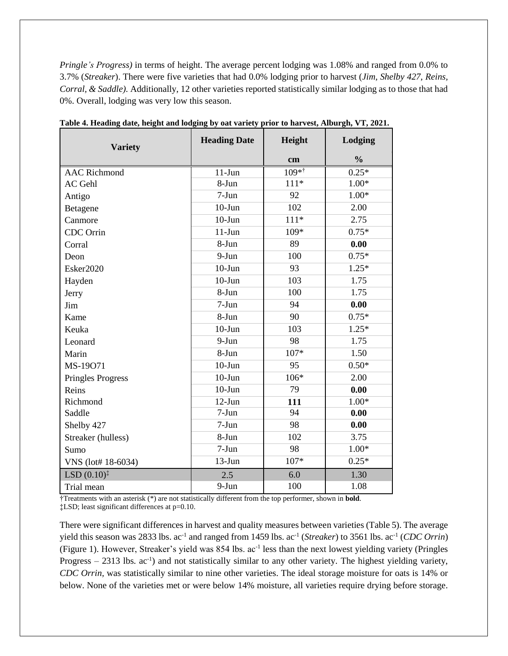*Pringle's Progress)* in terms of height. The average percent lodging was 1.08% and ranged from 0.0% to 3.7% (*Streaker*). There were five varieties that had 0.0% lodging prior to harvest (*Jim, Shelby 427, Reins, Corral, & Saddle).* Additionally, 12 other varieties reported statistically similar lodging as to those that had 0%. Overall, lodging was very low this season.

| <b>Variety</b>           | <b>Heading Date</b> | Height  | Lodging       |
|--------------------------|---------------------|---------|---------------|
|                          |                     | cm      | $\frac{0}{0}$ |
| <b>AAC Richmond</b>      | $11-Jun$            | $109**$ | $0.25*$       |
| AC Gehl                  | 8-Jun               | $111*$  | $1.00*$       |
| Antigo                   | $7-Jun$             | 92      | $1.00*$       |
| Betagene                 | $10-J$ un           | 102     | 2.00          |
| Canmore                  | $10-J$ un           | $111*$  | 2.75          |
| CDC Orrin                | $11-Jun$            | 109*    | $0.75*$       |
| Corral                   | 8-Jun               | 89      | 0.00          |
| Deon                     | $9-Jun$             | 100     | $0.75*$       |
| Esker2020                | $10-J$ un           | 93      | $1.25*$       |
| Hayden                   | $10-J$ un           | 103     | 1.75          |
| Jerry                    | 8-Jun               | 100     | 1.75          |
| Jim                      | $7-Jun$             | 94      | 0.00          |
| Kame                     | 8-Jun               | 90      | $0.75*$       |
| Keuka                    | $10 - Jun$          | 103     | $1.25*$       |
| Leonard                  | $9-Jun$             | 98      | 1.75          |
| Marin                    | 8-Jun               | $107*$  | 1.50          |
| MS-19071                 | $10-J$ un           | 95      | $0.50*$       |
| <b>Pringles Progress</b> | $10 - Jun$          | 106*    | 2.00          |
| Reins                    | $10 - Jun$          | 79      | 0.00          |
| Richmond                 | $12-Jun$            | 111     | $1.00*$       |
| Saddle                   | $7-Jun$             | 94      | 0.00          |
| Shelby 427               | $7-Jun$             | 98      | 0.00          |
| Streaker (hulless)       | 8-Jun               | 102     | 3.75          |
| Sumo                     | $7-Jun$             | 98      | $1.00*$       |
| VNS (lot# 18-6034)       | $13-Jun$            | 107*    | $0.25*$       |
| LSD $(0.10)^{\ddagger}$  | 2.5                 | 6.0     | 1.30          |
| Trial mean               | 9-Jun               | 100     | 1.08          |

**Table 4. Heading date, height and lodging by oat variety prior to harvest, Alburgh, VT, 2021.**

†Treatments with an asterisk (\*) are not statistically different from the top performer, shown in **bold**. ‡LSD; least significant differences at p=0.10.

There were significant differences in harvest and quality measures between varieties (Table 5). The average yield this season was 2833 lbs. ac<sup>-1</sup> and ranged from 1459 lbs. ac<sup>-1</sup> (*Streaker*) to 3561 lbs. ac<sup>-1</sup> (*CDC Orrin*) (Figure 1). However, Streaker's yield was 854 lbs. ac<sup>-1</sup> less than the next lowest yielding variety (Pringles Progress – 2313 lbs. ac<sup>-1</sup>) and not statistically similar to any other variety. The highest yielding variety, *CDC Orrin,* was statistically similar to nine other varieties. The ideal storage moisture for oats is 14% or below. None of the varieties met or were below 14% moisture, all varieties require drying before storage.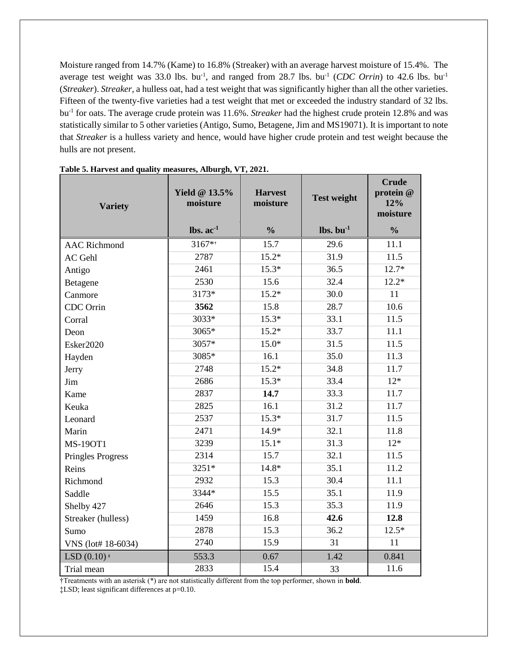Moisture ranged from 14.7% (Kame) to 16.8% (Streaker) with an average harvest moisture of 15.4%. The average test weight was  $33.0$  lbs. bu<sup>-1</sup>, and ranged from  $28.7$  lbs. bu<sup>-1</sup> (CDC Orrin) to  $42.6$  lbs. bu<sup>-1</sup> (*Streaker*). *Streaker,* a hulless oat, had a test weight that was significantly higher than all the other varieties. Fifteen of the twenty-five varieties had a test weight that met or exceeded the industry standard of 32 lbs. bu-1 for oats. The average crude protein was 11.6%. *Streaker* had the highest crude protein 12.8% and was statistically similar to 5 other varieties (Antigo, Sumo, Betagene, Jim and MS19071). It is important to note that *Streaker* is a hulless variety and hence, would have higher crude protein and test weight because the hulls are not present.

| <b>Variety</b>                         | <b>Yield @ 13.5%</b><br>moisture  | <b>Harvest</b><br>moisture | <b>Test weight</b>                | <b>Crude</b><br>protein @<br>12%<br>moisture |
|----------------------------------------|-----------------------------------|----------------------------|-----------------------------------|----------------------------------------------|
|                                        | $\mathbf{lbs.}\ \mathbf{ac}^{-1}$ | $\frac{0}{0}$              | $\mathbf{lbs.}\ \mathbf{bu}^{-1}$ | $\frac{0}{0}$                                |
| <b>AAC Richmond</b>                    | 3167**                            | 15.7                       | 29.6                              | 11.1                                         |
| <b>AC</b> Gehl                         | 2787                              | $15.2*$                    | 31.9                              | 11.5                                         |
| Antigo                                 | 2461                              | $15.3*$                    | 36.5                              | $12.7*$                                      |
| Betagene                               | 2530                              | 15.6                       | 32.4                              | $12.2*$                                      |
| Canmore                                | 3173*                             | $15.2*$                    | 30.0                              | 11                                           |
| CDC Orrin                              | 3562                              | 15.8                       | 28.7                              | 10.6                                         |
| Corral                                 | 3033*                             | $15.3*$                    | 33.1                              | 11.5                                         |
| Deon                                   | 3065*                             | $15.2*$                    | 33.7                              | 11.1                                         |
| Esker2020                              | 3057*                             | $15.0*$                    | 31.5                              | 11.5                                         |
| Hayden                                 | 3085*                             | 16.1                       | 35.0                              | 11.3                                         |
| Jerry                                  | 2748                              | $15.2*$                    | 34.8                              | 11.7                                         |
| Jim                                    | 2686                              | $15.3*$                    | 33.4                              | $12*$                                        |
| Kame                                   | 2837                              | 14.7                       | 33.3                              | 11.7                                         |
| Keuka                                  | 2825                              | 16.1                       | 31.2                              | 11.7                                         |
| Leonard                                | 2537                              | $15.3*$                    | 31.7                              | 11.5                                         |
| Marin                                  | 2471                              | 14.9*                      | 32.1                              | 11.8                                         |
| <b>MS-190T1</b>                        | 3239                              | $15.1*$                    | 31.3                              | $12*$                                        |
| <b>Pringles Progress</b>               | 2314                              | 15.7                       | 32.1                              | 11.5                                         |
| Reins                                  | 3251*                             | 14.8*                      | 35.1                              | 11.2                                         |
| Richmond                               | 2932                              | 15.3                       | 30.4                              | 11.1                                         |
| Saddle                                 | 3344*                             | 15.5                       | 35.1                              | 11.9                                         |
| Shelby 427                             | 2646                              | 15.3                       | 35.3                              | 11.9                                         |
| Streaker (hulless)                     | 1459                              | 16.8                       | 42.6                              | 12.8                                         |
| Sumo                                   | 2878                              | 15.3                       | 36.2                              | $12.5*$                                      |
| VNS (lot# 18-6034)                     | 2740                              | 15.9                       | 31                                | 11                                           |
| LSD $(0.10)$ <sup><math>*</math></sup> | 553.3                             | 0.67                       | 1.42                              | 0.841                                        |
| Trial mean                             | 2833                              | 15.4                       | 33                                | 11.6                                         |

**Table 5. Harvest and quality measures, Alburgh, VT, 2021.**

†Treatments with an asterisk (\*) are not statistically different from the top performer, shown in **bold**. ‡LSD; least significant differences at p=0.10.